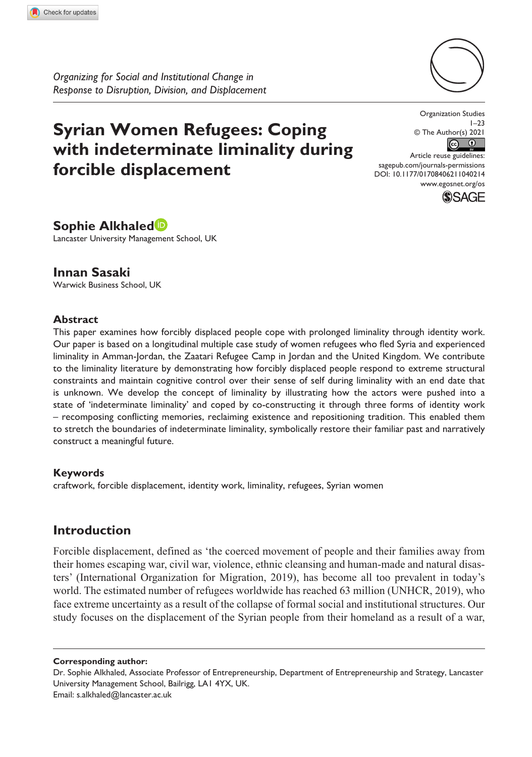*Organizing for Social and Institutional Change in Response to Disruption, Division, and Displacement*

# **Syrian Women Refugees: Coping with indeterminate liminality during forcible displacement**



Organization Studies  $1 - 23$ © The Author(s) 2021  $\odot$  $\bigcirc$ Article reuse guidelines:

DOI: 10.1177/01708406211040214 [sagepub.com/journals-permissions](https://uk.sagepub.com/en-gb/journals-permissions) [www.egosnet.org/os](http://www.egosnet.org/os)



**Sophie Alkhaled**

Lancaster University Management School, UK

# **Innan Sasaki**

Warwick Business School, UK

## **Abstract**

This paper examines how forcibly displaced people cope with prolonged liminality through identity work. Our paper is based on a longitudinal multiple case study of women refugees who fled Syria and experienced liminality in Amman-Jordan, the Zaatari Refugee Camp in Jordan and the United Kingdom. We contribute to the liminality literature by demonstrating how forcibly displaced people respond to extreme structural constraints and maintain cognitive control over their sense of self during liminality with an end date that is unknown. We develop the concept of liminality by illustrating how the actors were pushed into a state of 'indeterminate liminality' and coped by co-constructing it through three forms of identity work – recomposing conflicting memories, reclaiming existence and repositioning tradition. This enabled them to stretch the boundaries of indeterminate liminality, symbolically restore their familiar past and narratively construct a meaningful future.

#### **Keywords**

craftwork, forcible displacement, identity work, liminality, refugees, Syrian women

# **Introduction**

Forcible displacement, defined as 'the coerced movement of people and their families away from their homes escaping war, civil war, violence, ethnic cleansing and human-made and natural disasters' (International Organization for Migration, 2019), has become all too prevalent in today's world. The estimated number of refugees worldwide has reached 63 million (UNHCR, 2019), who face extreme uncertainty as a result of the collapse of formal social and institutional structures. Our study focuses on the displacement of the Syrian people from their homeland as a result of a war,

**Corresponding author:**

Dr. Sophie Alkhaled, Associate Professor of Entrepreneurship, Department of Entrepreneurship and Strategy, Lancaster University Management School, Bailrigg, LA1 4YX, UK. Email: [s.alkhaled@lancaster.ac.uk](mailto:s.alkhaled@lancaster.ac.uk)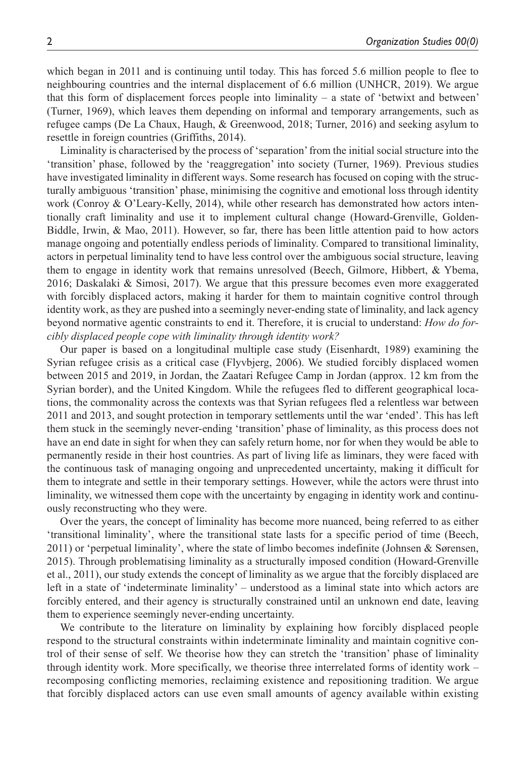which began in 2011 and is continuing until today. This has forced 5.6 million people to flee to neighbouring countries and the internal displacement of 6.6 million (UNHCR, 2019). We argue that this form of displacement forces people into liminality – a state of 'betwixt and between' (Turner, 1969), which leaves them depending on informal and temporary arrangements, such as refugee camps (De La Chaux, Haugh, & Greenwood, 2018; Turner, 2016) and seeking asylum to resettle in foreign countries (Griffiths, 2014).

Liminality is characterised by the process of 'separation' from the initial social structure into the 'transition' phase, followed by the 'reaggregation' into society (Turner, 1969). Previous studies have investigated liminality in different ways. Some research has focused on coping with the structurally ambiguous 'transition' phase, minimising the cognitive and emotional loss through identity work (Conroy & O'Leary-Kelly, 2014), while other research has demonstrated how actors intentionally craft liminality and use it to implement cultural change (Howard-Grenville, Golden-Biddle, Irwin, & Mao, 2011). However, so far, there has been little attention paid to how actors manage ongoing and potentially endless periods of liminality. Compared to transitional liminality, actors in perpetual liminality tend to have less control over the ambiguous social structure, leaving them to engage in identity work that remains unresolved (Beech, Gilmore, Hibbert, & Ybema, 2016; Daskalaki & Simosi, 2017). We argue that this pressure becomes even more exaggerated with forcibly displaced actors, making it harder for them to maintain cognitive control through identity work, as they are pushed into a seemingly never-ending state of liminality, and lack agency beyond normative agentic constraints to end it. Therefore, it is crucial to understand: *How do forcibly displaced people cope with liminality through identity work?*

Our paper is based on a longitudinal multiple case study (Eisenhardt, 1989) examining the Syrian refugee crisis as a critical case (Flyvbjerg, 2006). We studied forcibly displaced women between 2015 and 2019, in Jordan, the Zaatari Refugee Camp in Jordan (approx. 12 km from the Syrian border), and the United Kingdom. While the refugees fled to different geographical locations, the commonality across the contexts was that Syrian refugees fled a relentless war between 2011 and 2013, and sought protection in temporary settlements until the war 'ended'. This has left them stuck in the seemingly never-ending 'transition' phase of liminality, as this process does not have an end date in sight for when they can safely return home, nor for when they would be able to permanently reside in their host countries. As part of living life as liminars, they were faced with the continuous task of managing ongoing and unprecedented uncertainty, making it difficult for them to integrate and settle in their temporary settings. However, while the actors were thrust into liminality, we witnessed them cope with the uncertainty by engaging in identity work and continuously reconstructing who they were.

Over the years, the concept of liminality has become more nuanced, being referred to as either 'transitional liminality', where the transitional state lasts for a specific period of time (Beech, 2011) or 'perpetual liminality', where the state of limbo becomes indefinite (Johnsen & Sørensen, 2015). Through problematising liminality as a structurally imposed condition (Howard-Grenville et al., 2011), our study extends the concept of liminality as we argue that the forcibly displaced are left in a state of 'indeterminate liminality' – understood as a liminal state into which actors are forcibly entered, and their agency is structurally constrained until an unknown end date, leaving them to experience seemingly never-ending uncertainty.

We contribute to the literature on liminality by explaining how forcibly displaced people respond to the structural constraints within indeterminate liminality and maintain cognitive control of their sense of self. We theorise how they can stretch the 'transition' phase of liminality through identity work. More specifically, we theorise three interrelated forms of identity work – recomposing conflicting memories, reclaiming existence and repositioning tradition. We argue that forcibly displaced actors can use even small amounts of agency available within existing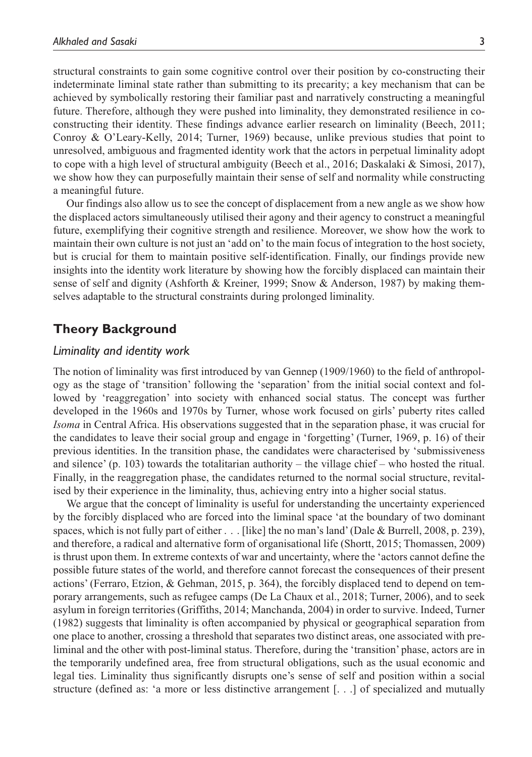structural constraints to gain some cognitive control over their position by co-constructing their indeterminate liminal state rather than submitting to its precarity; a key mechanism that can be achieved by symbolically restoring their familiar past and narratively constructing a meaningful future. Therefore, although they were pushed into liminality, they demonstrated resilience in coconstructing their identity. These findings advance earlier research on liminality (Beech, 2011; Conroy & O'Leary-Kelly, 2014; Turner, 1969) because, unlike previous studies that point to unresolved, ambiguous and fragmented identity work that the actors in perpetual liminality adopt to cope with a high level of structural ambiguity (Beech et al., 2016; Daskalaki & Simosi, 2017), we show how they can purposefully maintain their sense of self and normality while constructing a meaningful future.

Our findings also allow us to see the concept of displacement from a new angle as we show how the displaced actors simultaneously utilised their agony and their agency to construct a meaningful future, exemplifying their cognitive strength and resilience. Moreover, we show how the work to maintain their own culture is not just an 'add on' to the main focus of integration to the host society, but is crucial for them to maintain positive self-identification. Finally, our findings provide new insights into the identity work literature by showing how the forcibly displaced can maintain their sense of self and dignity (Ashforth & Kreiner, 1999; Snow & Anderson, 1987) by making themselves adaptable to the structural constraints during prolonged liminality.

# **Theory Background**

#### *Liminality and identity work*

The notion of liminality was first introduced by van Gennep (1909/1960) to the field of anthropology as the stage of 'transition' following the 'separation' from the initial social context and followed by 'reaggregation' into society with enhanced social status. The concept was further developed in the 1960s and 1970s by Turner, whose work focused on girls' puberty rites called *Isoma* in Central Africa. His observations suggested that in the separation phase, it was crucial for the candidates to leave their social group and engage in 'forgetting' (Turner, 1969, p. 16) of their previous identities. In the transition phase, the candidates were characterised by 'submissiveness and silence' (p. 103) towards the totalitarian authority – the village chief – who hosted the ritual. Finally, in the reaggregation phase, the candidates returned to the normal social structure, revitalised by their experience in the liminality, thus, achieving entry into a higher social status.

We argue that the concept of liminality is useful for understanding the uncertainty experienced by the forcibly displaced who are forced into the liminal space 'at the boundary of two dominant spaces, which is not fully part of either . . . [like] the no man's land' (Dale & Burrell, 2008, p. 239), and therefore, a radical and alternative form of organisational life (Shortt, 2015; Thomassen, 2009) is thrust upon them. In extreme contexts of war and uncertainty, where the 'actors cannot define the possible future states of the world, and therefore cannot forecast the consequences of their present actions' (Ferraro, Etzion, & Gehman, 2015, p. 364), the forcibly displaced tend to depend on temporary arrangements, such as refugee camps (De La Chaux et al., 2018; Turner, 2006), and to seek asylum in foreign territories (Griffiths, 2014; Manchanda, 2004) in order to survive. Indeed, Turner (1982) suggests that liminality is often accompanied by physical or geographical separation from one place to another, crossing a threshold that separates two distinct areas, one associated with preliminal and the other with post-liminal status. Therefore, during the 'transition' phase, actors are in the temporarily undefined area, free from structural obligations, such as the usual economic and legal ties. Liminality thus significantly disrupts one's sense of self and position within a social structure (defined as: 'a more or less distinctive arrangement [. . .] of specialized and mutually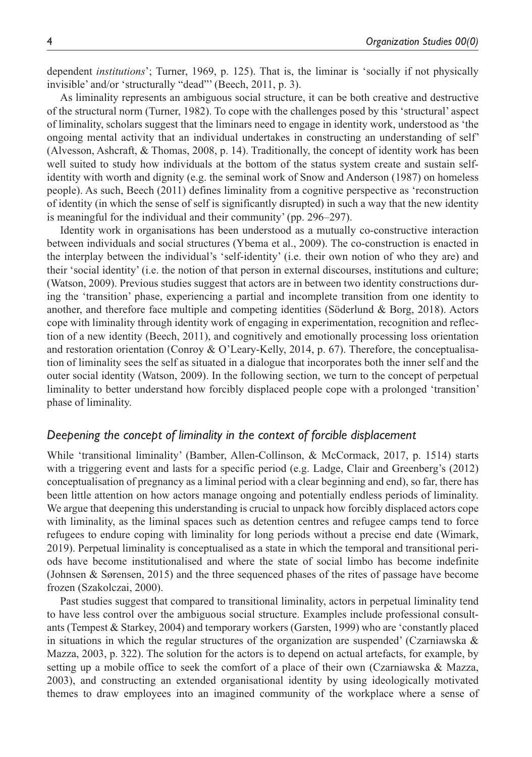dependent *institutions*'; Turner, 1969, p. 125). That is, the liminar is 'socially if not physically invisible' and/or 'structurally "dead"' (Beech, 2011, p. 3).

As liminality represents an ambiguous social structure, it can be both creative and destructive of the structural norm (Turner, 1982). To cope with the challenges posed by this 'structural' aspect of liminality, scholars suggest that the liminars need to engage in identity work, understood as 'the ongoing mental activity that an individual undertakes in constructing an understanding of self' (Alvesson, Ashcraft, & Thomas, 2008, p. 14). Traditionally, the concept of identity work has been well suited to study how individuals at the bottom of the status system create and sustain selfidentity with worth and dignity (e.g. the seminal work of Snow and Anderson (1987) on homeless people). As such, Beech (2011) defines liminality from a cognitive perspective as 'reconstruction of identity (in which the sense of self is significantly disrupted) in such a way that the new identity is meaningful for the individual and their community' (pp. 296–297).

Identity work in organisations has been understood as a mutually co-constructive interaction between individuals and social structures (Ybema et al., 2009). The co-construction is enacted in the interplay between the individual's 'self-identity' (i.e. their own notion of who they are) and their 'social identity' (i.e. the notion of that person in external discourses, institutions and culture; (Watson, 2009). Previous studies suggest that actors are in between two identity constructions during the 'transition' phase, experiencing a partial and incomplete transition from one identity to another, and therefore face multiple and competing identities (Söderlund & Borg, 2018). Actors cope with liminality through identity work of engaging in experimentation, recognition and reflection of a new identity (Beech, 2011), and cognitively and emotionally processing loss orientation and restoration orientation (Conroy & O'Leary-Kelly, 2014, p. 67). Therefore, the conceptualisation of liminality sees the self as situated in a dialogue that incorporates both the inner self and the outer social identity (Watson, 2009). In the following section, we turn to the concept of perpetual liminality to better understand how forcibly displaced people cope with a prolonged 'transition' phase of liminality.

## *Deepening the concept of liminality in the context of forcible displacement*

While 'transitional liminality' (Bamber, Allen-Collinson, & McCormack, 2017, p. 1514) starts with a triggering event and lasts for a specific period (e.g. Ladge, Clair and Greenberg's (2012) conceptualisation of pregnancy as a liminal period with a clear beginning and end), so far, there has been little attention on how actors manage ongoing and potentially endless periods of liminality. We argue that deepening this understanding is crucial to unpack how forcibly displaced actors cope with liminality, as the liminal spaces such as detention centres and refugee camps tend to force refugees to endure coping with liminality for long periods without a precise end date (Wimark, 2019). Perpetual liminality is conceptualised as a state in which the temporal and transitional periods have become institutionalised and where the state of social limbo has become indefinite (Johnsen & Sørensen, 2015) and the three sequenced phases of the rites of passage have become frozen (Szakolczai, 2000).

Past studies suggest that compared to transitional liminality, actors in perpetual liminality tend to have less control over the ambiguous social structure. Examples include professional consultants (Tempest & Starkey, 2004) and temporary workers (Garsten, 1999) who are 'constantly placed in situations in which the regular structures of the organization are suspended' (Czarniawska  $\&$ Mazza, 2003, p. 322). The solution for the actors is to depend on actual artefacts, for example, by setting up a mobile office to seek the comfort of a place of their own (Czarniawska & Mazza, 2003), and constructing an extended organisational identity by using ideologically motivated themes to draw employees into an imagined community of the workplace where a sense of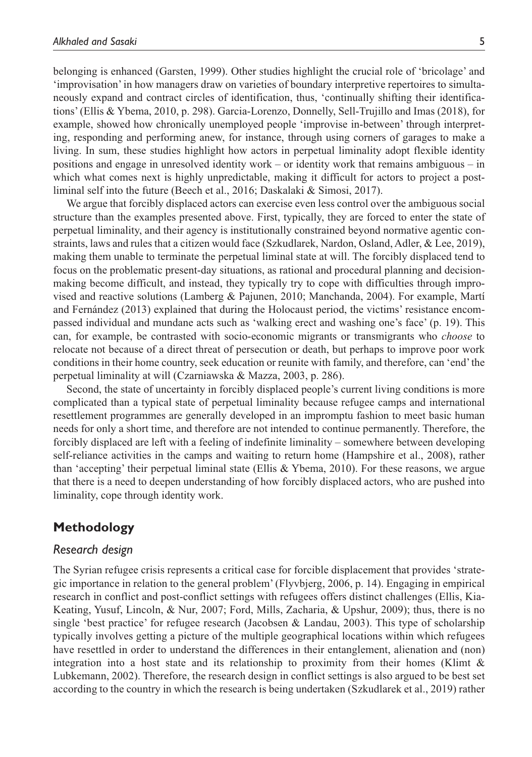belonging is enhanced (Garsten, 1999). Other studies highlight the crucial role of 'bricolage' and 'improvisation' in how managers draw on varieties of boundary interpretive repertoires to simultaneously expand and contract circles of identification, thus, 'continually shifting their identifications' (Ellis & Ybema, 2010, p. 298). Garcia-Lorenzo, Donnelly, Sell-Trujillo and Imas (2018), for example, showed how chronically unemployed people 'improvise in-between' through interpreting, responding and performing anew, for instance, through using corners of garages to make a living. In sum, these studies highlight how actors in perpetual liminality adopt flexible identity positions and engage in unresolved identity work – or identity work that remains ambiguous – in which what comes next is highly unpredictable, making it difficult for actors to project a postliminal self into the future (Beech et al., 2016; Daskalaki & Simosi, 2017).

We argue that forcibly displaced actors can exercise even less control over the ambiguous social structure than the examples presented above. First, typically, they are forced to enter the state of perpetual liminality, and their agency is institutionally constrained beyond normative agentic constraints, laws and rules that a citizen would face (Szkudlarek, Nardon, Osland, Adler, & Lee, 2019), making them unable to terminate the perpetual liminal state at will. The forcibly displaced tend to focus on the problematic present-day situations, as rational and procedural planning and decisionmaking become difficult, and instead, they typically try to cope with difficulties through improvised and reactive solutions (Lamberg & Pajunen, 2010; Manchanda, 2004). For example, Martí and Fernández (2013) explained that during the Holocaust period, the victims' resistance encompassed individual and mundane acts such as 'walking erect and washing one's face' (p. 19). This can, for example, be contrasted with socio-economic migrants or transmigrants who *choose* to relocate not because of a direct threat of persecution or death, but perhaps to improve poor work conditions in their home country, seek education or reunite with family, and therefore, can 'end' the perpetual liminality at will (Czarniawska & Mazza, 2003, p. 286).

Second, the state of uncertainty in forcibly displaced people's current living conditions is more complicated than a typical state of perpetual liminality because refugee camps and international resettlement programmes are generally developed in an impromptu fashion to meet basic human needs for only a short time, and therefore are not intended to continue permanently. Therefore, the forcibly displaced are left with a feeling of indefinite liminality – somewhere between developing self-reliance activities in the camps and waiting to return home (Hampshire et al., 2008), rather than 'accepting' their perpetual liminal state (Ellis & Ybema, 2010). For these reasons, we argue that there is a need to deepen understanding of how forcibly displaced actors, who are pushed into liminality, cope through identity work.

# **Methodology**

## *Research design*

The Syrian refugee crisis represents a critical case for forcible displacement that provides 'strategic importance in relation to the general problem' (Flyvbjerg, 2006, p. 14). Engaging in empirical research in conflict and post-conflict settings with refugees offers distinct challenges (Ellis, Kia-Keating, Yusuf, Lincoln, & Nur, 2007; Ford, Mills, Zacharia, & Upshur, 2009); thus, there is no single 'best practice' for refugee research (Jacobsen & Landau, 2003). This type of scholarship typically involves getting a picture of the multiple geographical locations within which refugees have resettled in order to understand the differences in their entanglement, alienation and (non) integration into a host state and its relationship to proximity from their homes (Klimt  $\&$ Lubkemann, 2002). Therefore, the research design in conflict settings is also argued to be best set according to the country in which the research is being undertaken (Szkudlarek et al., 2019) rather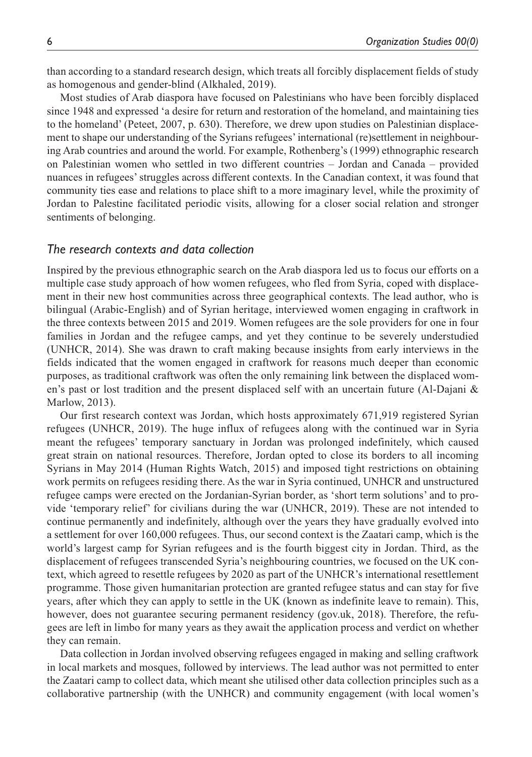than according to a standard research design, which treats all forcibly displacement fields of study as homogenous and gender-blind (Alkhaled, 2019).

Most studies of Arab diaspora have focused on Palestinians who have been forcibly displaced since 1948 and expressed 'a desire for return and restoration of the homeland, and maintaining ties to the homeland' (Peteet, 2007, p. 630). Therefore, we drew upon studies on Palestinian displacement to shape our understanding of the Syrians refugees' international (re)settlement in neighbouring Arab countries and around the world. For example, Rothenberg's (1999) ethnographic research on Palestinian women who settled in two different countries – Jordan and Canada – provided nuances in refugees' struggles across different contexts. In the Canadian context, it was found that community ties ease and relations to place shift to a more imaginary level, while the proximity of Jordan to Palestine facilitated periodic visits, allowing for a closer social relation and stronger sentiments of belonging.

#### *The research contexts and data collection*

Inspired by the previous ethnographic search on the Arab diaspora led us to focus our efforts on a multiple case study approach of how women refugees, who fled from Syria, coped with displacement in their new host communities across three geographical contexts. The lead author, who is bilingual (Arabic-English) and of Syrian heritage, interviewed women engaging in craftwork in the three contexts between 2015 and 2019. Women refugees are the sole providers for one in four families in Jordan and the refugee camps, and yet they continue to be severely understudied (UNHCR, 2014). She was drawn to craft making because insights from early interviews in the fields indicated that the women engaged in craftwork for reasons much deeper than economic purposes, as traditional craftwork was often the only remaining link between the displaced women's past or lost tradition and the present displaced self with an uncertain future (Al-Dajani & Marlow, 2013).

Our first research context was Jordan, which hosts approximately 671,919 registered Syrian refugees (UNHCR, 2019). The huge influx of refugees along with the continued war in Syria meant the refugees' temporary sanctuary in Jordan was prolonged indefinitely, which caused great strain on national resources. Therefore, Jordan opted to close its borders to all incoming Syrians in May 2014 (Human Rights Watch, 2015) and imposed tight restrictions on obtaining work permits on refugees residing there. As the war in Syria continued, UNHCR and unstructured refugee camps were erected on the Jordanian-Syrian border, as 'short term solutions' and to provide 'temporary relief' for civilians during the war (UNHCR, 2019). These are not intended to continue permanently and indefinitely, although over the years they have gradually evolved into a settlement for over 160,000 refugees. Thus, our second context is the Zaatari camp, which is the world's largest camp for Syrian refugees and is the fourth biggest city in Jordan. Third, as the displacement of refugees transcended Syria's neighbouring countries, we focused on the UK context, which agreed to resettle refugees by 2020 as part of the UNHCR's international resettlement programme. Those given humanitarian protection are granted refugee status and can stay for five years, after which they can apply to settle in the UK (known as indefinite leave to remain). This, however, does not guarantee securing permanent residency (gov.uk, 2018). Therefore, the refugees are left in limbo for many years as they await the application process and verdict on whether they can remain.

Data collection in Jordan involved observing refugees engaged in making and selling craftwork in local markets and mosques, followed by interviews. The lead author was not permitted to enter the Zaatari camp to collect data, which meant she utilised other data collection principles such as a collaborative partnership (with the UNHCR) and community engagement (with local women's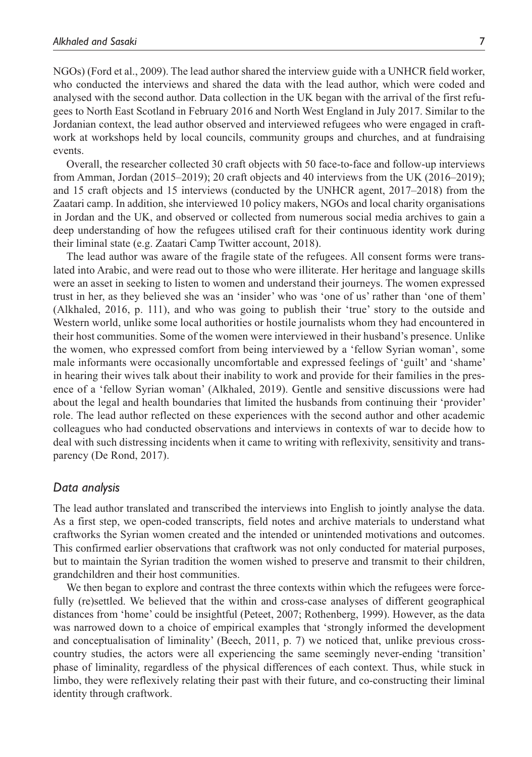NGOs) (Ford et al., 2009). The lead author shared the interview guide with a UNHCR field worker, who conducted the interviews and shared the data with the lead author, which were coded and analysed with the second author. Data collection in the UK began with the arrival of the first refugees to North East Scotland in February 2016 and North West England in July 2017. Similar to the Jordanian context, the lead author observed and interviewed refugees who were engaged in craftwork at workshops held by local councils, community groups and churches, and at fundraising events.

Overall, the researcher collected 30 craft objects with 50 face-to-face and follow-up interviews from Amman, Jordan (2015–2019); 20 craft objects and 40 interviews from the UK (2016–2019); and 15 craft objects and 15 interviews (conducted by the UNHCR agent, 2017–2018) from the Zaatari camp. In addition, she interviewed 10 policy makers, NGOs and local charity organisations in Jordan and the UK, and observed or collected from numerous social media archives to gain a deep understanding of how the refugees utilised craft for their continuous identity work during their liminal state (e.g. Zaatari Camp Twitter account, 2018).

The lead author was aware of the fragile state of the refugees. All consent forms were translated into Arabic, and were read out to those who were illiterate. Her heritage and language skills were an asset in seeking to listen to women and understand their journeys. The women expressed trust in her, as they believed she was an 'insider' who was 'one of us' rather than 'one of them' (Alkhaled, 2016, p. 111), and who was going to publish their 'true' story to the outside and Western world, unlike some local authorities or hostile journalists whom they had encountered in their host communities. Some of the women were interviewed in their husband's presence. Unlike the women, who expressed comfort from being interviewed by a 'fellow Syrian woman', some male informants were occasionally uncomfortable and expressed feelings of 'guilt' and 'shame' in hearing their wives talk about their inability to work and provide for their families in the presence of a 'fellow Syrian woman' (Alkhaled, 2019). Gentle and sensitive discussions were had about the legal and health boundaries that limited the husbands from continuing their 'provider' role. The lead author reflected on these experiences with the second author and other academic colleagues who had conducted observations and interviews in contexts of war to decide how to deal with such distressing incidents when it came to writing with reflexivity, sensitivity and transparency (De Rond, 2017).

## *Data analysis*

The lead author translated and transcribed the interviews into English to jointly analyse the data. As a first step, we open-coded transcripts, field notes and archive materials to understand what craftworks the Syrian women created and the intended or unintended motivations and outcomes. This confirmed earlier observations that craftwork was not only conducted for material purposes, but to maintain the Syrian tradition the women wished to preserve and transmit to their children, grandchildren and their host communities.

We then began to explore and contrast the three contexts within which the refugees were forcefully (re)settled. We believed that the within and cross-case analyses of different geographical distances from 'home' could be insightful (Peteet, 2007; Rothenberg, 1999). However, as the data was narrowed down to a choice of empirical examples that 'strongly informed the development and conceptualisation of liminality' (Beech, 2011, p. 7) we noticed that, unlike previous crosscountry studies, the actors were all experiencing the same seemingly never-ending 'transition' phase of liminality, regardless of the physical differences of each context. Thus, while stuck in limbo, they were reflexively relating their past with their future, and co-constructing their liminal identity through craftwork.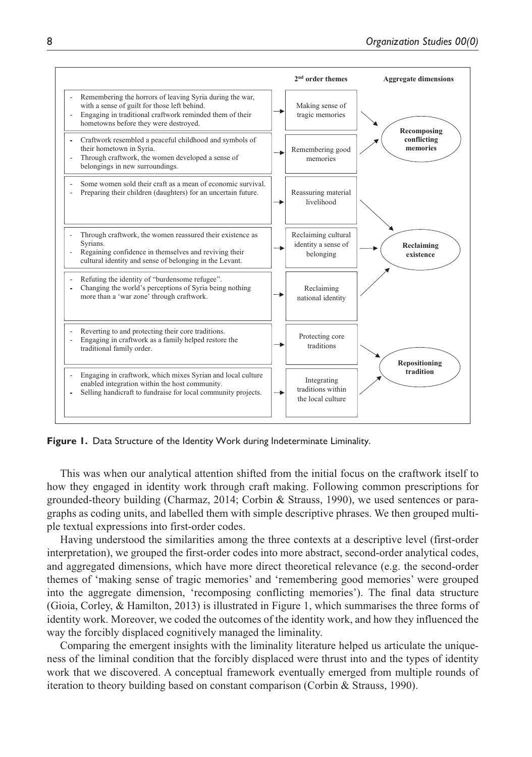

Figure 1. Data Structure of the Identity Work during Indeterminate Liminality.

This was when our analytical attention shifted from the initial focus on the craftwork itself to how they engaged in identity work through craft making. Following common prescriptions for grounded-theory building (Charmaz, 2014; Corbin & Strauss, 1990), we used sentences or paragraphs as coding units, and labelled them with simple descriptive phrases. We then grouped multiple textual expressions into first-order codes.

Having understood the similarities among the three contexts at a descriptive level (first-order interpretation), we grouped the first-order codes into more abstract, second-order analytical codes, and aggregated dimensions, which have more direct theoretical relevance (e.g. the second-order themes of 'making sense of tragic memories' and 'remembering good memories' were grouped into the aggregate dimension, 'recomposing conflicting memories'). The final data structure (Gioia, Corley, & Hamilton, 2013) is illustrated in Figure 1, which summarises the three forms of identity work. Moreover, we coded the outcomes of the identity work, and how they influenced the way the forcibly displaced cognitively managed the liminality.

Comparing the emergent insights with the liminality literature helped us articulate the uniqueness of the liminal condition that the forcibly displaced were thrust into and the types of identity work that we discovered. A conceptual framework eventually emerged from multiple rounds of iteration to theory building based on constant comparison (Corbin & Strauss, 1990).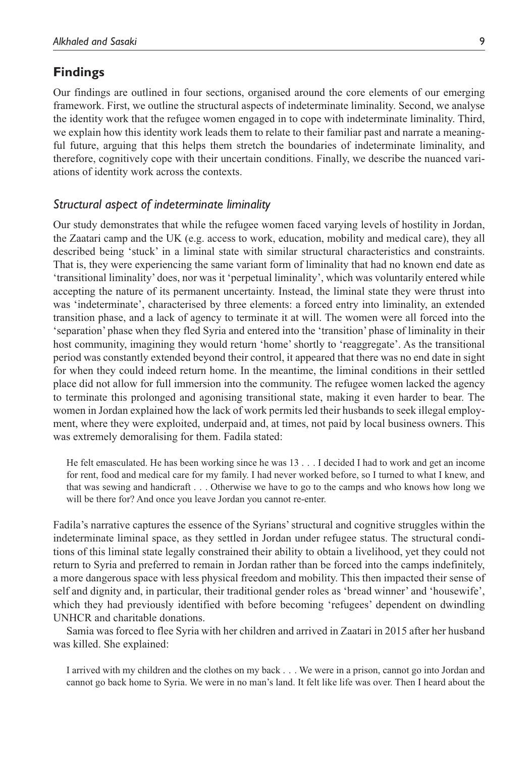# **Findings**

Our findings are outlined in four sections, organised around the core elements of our emerging framework. First, we outline the structural aspects of indeterminate liminality. Second, we analyse the identity work that the refugee women engaged in to cope with indeterminate liminality. Third, we explain how this identity work leads them to relate to their familiar past and narrate a meaningful future, arguing that this helps them stretch the boundaries of indeterminate liminality, and therefore, cognitively cope with their uncertain conditions. Finally, we describe the nuanced variations of identity work across the contexts.

## *Structural aspect of indeterminate liminality*

Our study demonstrates that while the refugee women faced varying levels of hostility in Jordan, the Zaatari camp and the UK (e.g. access to work, education, mobility and medical care), they all described being 'stuck' in a liminal state with similar structural characteristics and constraints. That is, they were experiencing the same variant form of liminality that had no known end date as 'transitional liminality' does, nor was it 'perpetual liminality', which was voluntarily entered while accepting the nature of its permanent uncertainty. Instead, the liminal state they were thrust into was 'indeterminate', characterised by three elements: a forced entry into liminality, an extended transition phase, and a lack of agency to terminate it at will. The women were all forced into the 'separation' phase when they fled Syria and entered into the 'transition' phase of liminality in their host community, imagining they would return 'home' shortly to 'reaggregate'. As the transitional period was constantly extended beyond their control, it appeared that there was no end date in sight for when they could indeed return home. In the meantime, the liminal conditions in their settled place did not allow for full immersion into the community. The refugee women lacked the agency to terminate this prolonged and agonising transitional state, making it even harder to bear. The women in Jordan explained how the lack of work permits led their husbands to seek illegal employment, where they were exploited, underpaid and, at times, not paid by local business owners. This was extremely demoralising for them. Fadila stated:

He felt emasculated. He has been working since he was 13 . . . I decided I had to work and get an income for rent, food and medical care for my family. I had never worked before, so I turned to what I knew, and that was sewing and handicraft . . . Otherwise we have to go to the camps and who knows how long we will be there for? And once you leave Jordan you cannot re-enter.

Fadila's narrative captures the essence of the Syrians' structural and cognitive struggles within the indeterminate liminal space, as they settled in Jordan under refugee status. The structural conditions of this liminal state legally constrained their ability to obtain a livelihood, yet they could not return to Syria and preferred to remain in Jordan rather than be forced into the camps indefinitely, a more dangerous space with less physical freedom and mobility. This then impacted their sense of self and dignity and, in particular, their traditional gender roles as 'bread winner' and 'housewife', which they had previously identified with before becoming 'refugees' dependent on dwindling UNHCR and charitable donations.

Samia was forced to flee Syria with her children and arrived in Zaatari in 2015 after her husband was killed. She explained:

I arrived with my children and the clothes on my back . . . We were in a prison, cannot go into Jordan and cannot go back home to Syria. We were in no man's land. It felt like life was over. Then I heard about the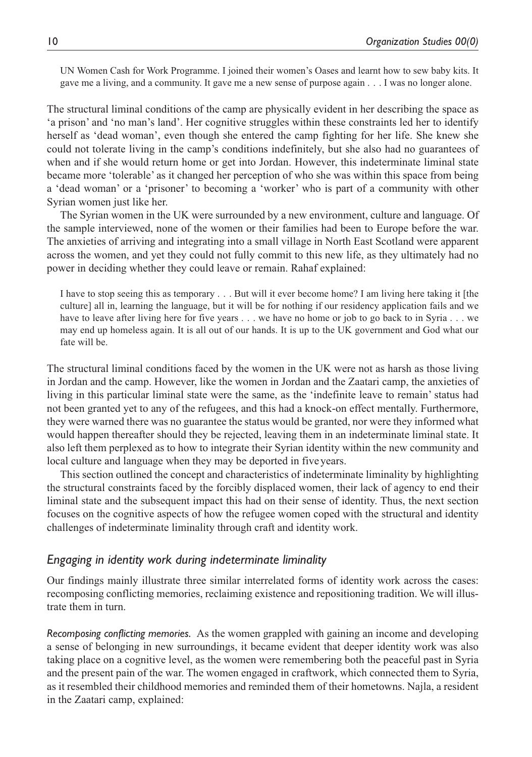UN Women Cash for Work Programme. I joined their women's Oases and learnt how to sew baby kits. It gave me a living, and a community. It gave me a new sense of purpose again . . . I was no longer alone.

The structural liminal conditions of the camp are physically evident in her describing the space as 'a prison' and 'no man's land'. Her cognitive struggles within these constraints led her to identify herself as 'dead woman', even though she entered the camp fighting for her life. She knew she could not tolerate living in the camp's conditions indefinitely, but she also had no guarantees of when and if she would return home or get into Jordan. However, this indeterminate liminal state became more 'tolerable' as it changed her perception of who she was within this space from being a 'dead woman' or a 'prisoner' to becoming a 'worker' who is part of a community with other Syrian women just like her.

The Syrian women in the UK were surrounded by a new environment, culture and language. Of the sample interviewed, none of the women or their families had been to Europe before the war. The anxieties of arriving and integrating into a small village in North East Scotland were apparent across the women, and yet they could not fully commit to this new life, as they ultimately had no power in deciding whether they could leave or remain. Rahaf explained:

I have to stop seeing this as temporary . . . But will it ever become home? I am living here taking it [the culture] all in, learning the language, but it will be for nothing if our residency application fails and we have to leave after living here for five years . . . we have no home or job to go back to in Syria . . . we may end up homeless again. It is all out of our hands. It is up to the UK government and God what our fate will be.

The structural liminal conditions faced by the women in the UK were not as harsh as those living in Jordan and the camp. However, like the women in Jordan and the Zaatari camp, the anxieties of living in this particular liminal state were the same, as the 'indefinite leave to remain' status had not been granted yet to any of the refugees, and this had a knock-on effect mentally. Furthermore, they were warned there was no guarantee the status would be granted, nor were they informed what would happen thereafter should they be rejected, leaving them in an indeterminate liminal state. It also left them perplexed as to how to integrate their Syrian identity within the new community and local culture and language when they may be deported in fiveyears.

This section outlined the concept and characteristics of indeterminate liminality by highlighting the structural constraints faced by the forcibly displaced women, their lack of agency to end their liminal state and the subsequent impact this had on their sense of identity. Thus, the next section focuses on the cognitive aspects of how the refugee women coped with the structural and identity challenges of indeterminate liminality through craft and identity work.

## *Engaging in identity work during indeterminate liminality*

Our findings mainly illustrate three similar interrelated forms of identity work across the cases: recomposing conflicting memories, reclaiming existence and repositioning tradition. We will illustrate them in turn.

*Recomposing conflicting memories.* As the women grappled with gaining an income and developing a sense of belonging in new surroundings, it became evident that deeper identity work was also taking place on a cognitive level, as the women were remembering both the peaceful past in Syria and the present pain of the war. The women engaged in craftwork, which connected them to Syria, as it resembled their childhood memories and reminded them of their hometowns. Najla, a resident in the Zaatari camp, explained: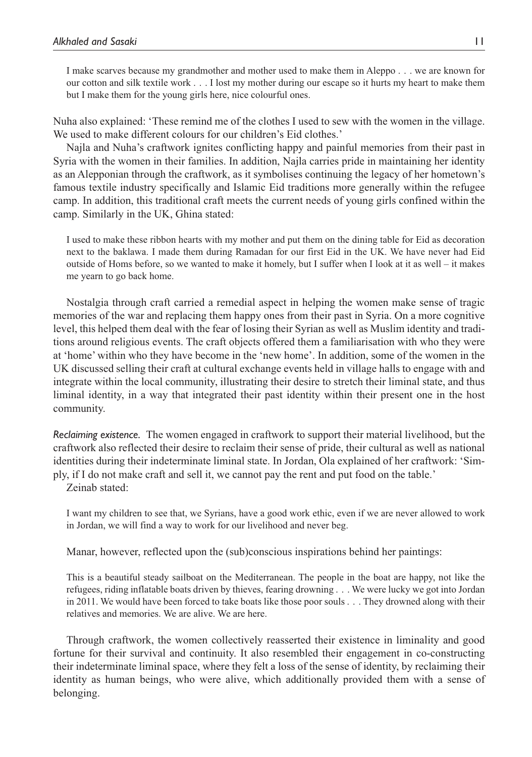I make scarves because my grandmother and mother used to make them in Aleppo . . . we are known for our cotton and silk textile work . . . I lost my mother during our escape so it hurts my heart to make them but I make them for the young girls here, nice colourful ones.

Nuha also explained: 'These remind me of the clothes I used to sew with the women in the village. We used to make different colours for our children's Eid clothes.'

Najla and Nuha's craftwork ignites conflicting happy and painful memories from their past in Syria with the women in their families. In addition, Najla carries pride in maintaining her identity as an Alepponian through the craftwork, as it symbolises continuing the legacy of her hometown's famous textile industry specifically and Islamic Eid traditions more generally within the refugee camp. In addition, this traditional craft meets the current needs of young girls confined within the camp. Similarly in the UK, Ghina stated:

I used to make these ribbon hearts with my mother and put them on the dining table for Eid as decoration next to the baklawa. I made them during Ramadan for our first Eid in the UK. We have never had Eid outside of Homs before, so we wanted to make it homely, but I suffer when I look at it as well – it makes me yearn to go back home.

Nostalgia through craft carried a remedial aspect in helping the women make sense of tragic memories of the war and replacing them happy ones from their past in Syria. On a more cognitive level, this helped them deal with the fear of losing their Syrian as well as Muslim identity and traditions around religious events. The craft objects offered them a familiarisation with who they were at 'home' within who they have become in the 'new home'. In addition, some of the women in the UK discussed selling their craft at cultural exchange events held in village halls to engage with and integrate within the local community, illustrating their desire to stretch their liminal state, and thus liminal identity, in a way that integrated their past identity within their present one in the host community.

*Reclaiming existence.* The women engaged in craftwork to support their material livelihood, but the craftwork also reflected their desire to reclaim their sense of pride, their cultural as well as national identities during their indeterminate liminal state. In Jordan, Ola explained of her craftwork: 'Simply, if I do not make craft and sell it, we cannot pay the rent and put food on the table.'

Zeinab stated:

I want my children to see that, we Syrians, have a good work ethic, even if we are never allowed to work in Jordan, we will find a way to work for our livelihood and never beg.

Manar, however, reflected upon the (sub)conscious inspirations behind her paintings:

This is a beautiful steady sailboat on the Mediterranean. The people in the boat are happy, not like the refugees, riding inflatable boats driven by thieves, fearing drowning . . . We were lucky we got into Jordan in 2011. We would have been forced to take boats like those poor souls . . . They drowned along with their relatives and memories. We are alive. We are here.

Through craftwork, the women collectively reasserted their existence in liminality and good fortune for their survival and continuity. It also resembled their engagement in co-constructing their indeterminate liminal space, where they felt a loss of the sense of identity, by reclaiming their identity as human beings, who were alive, which additionally provided them with a sense of belonging.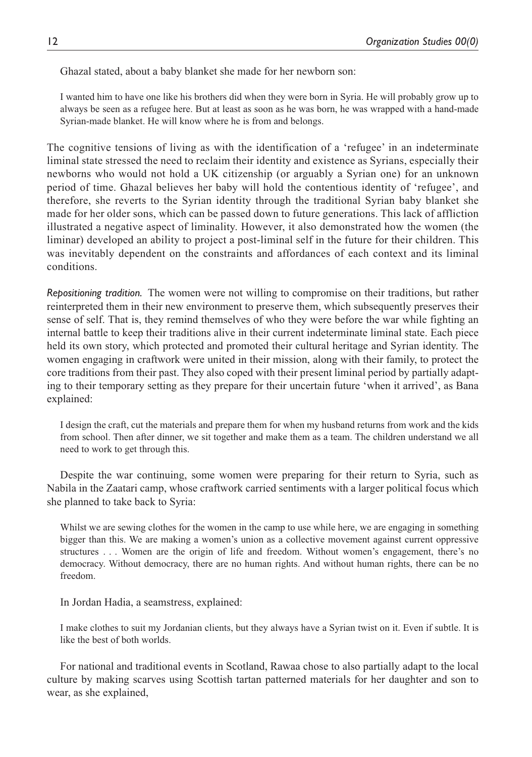Ghazal stated, about a baby blanket she made for her newborn son:

I wanted him to have one like his brothers did when they were born in Syria. He will probably grow up to always be seen as a refugee here. But at least as soon as he was born, he was wrapped with a hand-made Syrian-made blanket. He will know where he is from and belongs.

The cognitive tensions of living as with the identification of a 'refugee' in an indeterminate liminal state stressed the need to reclaim their identity and existence as Syrians, especially their newborns who would not hold a UK citizenship (or arguably a Syrian one) for an unknown period of time. Ghazal believes her baby will hold the contentious identity of 'refugee', and therefore, she reverts to the Syrian identity through the traditional Syrian baby blanket she made for her older sons, which can be passed down to future generations. This lack of affliction illustrated a negative aspect of liminality. However, it also demonstrated how the women (the liminar) developed an ability to project a post-liminal self in the future for their children. This was inevitably dependent on the constraints and affordances of each context and its liminal conditions.

*Repositioning tradition.* The women were not willing to compromise on their traditions, but rather reinterpreted them in their new environment to preserve them, which subsequently preserves their sense of self. That is, they remind themselves of who they were before the war while fighting an internal battle to keep their traditions alive in their current indeterminate liminal state. Each piece held its own story, which protected and promoted their cultural heritage and Syrian identity. The women engaging in craftwork were united in their mission, along with their family, to protect the core traditions from their past. They also coped with their present liminal period by partially adapting to their temporary setting as they prepare for their uncertain future 'when it arrived', as Bana explained:

I design the craft, cut the materials and prepare them for when my husband returns from work and the kids from school. Then after dinner, we sit together and make them as a team. The children understand we all need to work to get through this.

Despite the war continuing, some women were preparing for their return to Syria, such as Nabila in the Zaatari camp, whose craftwork carried sentiments with a larger political focus which she planned to take back to Syria:

Whilst we are sewing clothes for the women in the camp to use while here, we are engaging in something bigger than this. We are making a women's union as a collective movement against current oppressive structures . . . Women are the origin of life and freedom. Without women's engagement, there's no democracy. Without democracy, there are no human rights. And without human rights, there can be no freedom.

In Jordan Hadia, a seamstress, explained:

I make clothes to suit my Jordanian clients, but they always have a Syrian twist on it. Even if subtle. It is like the best of both worlds.

For national and traditional events in Scotland, Rawaa chose to also partially adapt to the local culture by making scarves using Scottish tartan patterned materials for her daughter and son to wear, as she explained,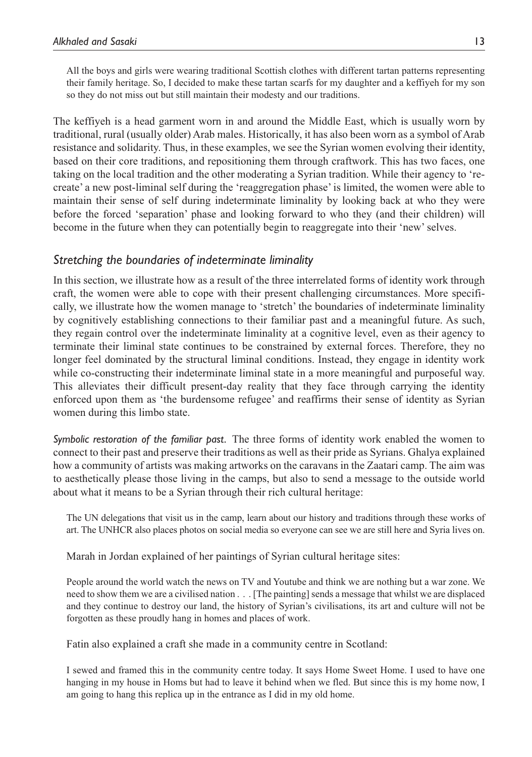All the boys and girls were wearing traditional Scottish clothes with different tartan patterns representing their family heritage. So, I decided to make these tartan scarfs for my daughter and a keffiyeh for my son so they do not miss out but still maintain their modesty and our traditions.

The keffiyeh is a head garment worn in and around the Middle East, which is usually worn by traditional, rural (usually older) Arab males. Historically, it has also been worn as a symbol of Arab resistance and solidarity. Thus, in these examples, we see the Syrian women evolving their identity, based on their core traditions, and repositioning them through craftwork. This has two faces, one taking on the local tradition and the other moderating a Syrian tradition. While their agency to 'recreate' a new post-liminal self during the 'reaggregation phase' is limited, the women were able to maintain their sense of self during indeterminate liminality by looking back at who they were before the forced 'separation' phase and looking forward to who they (and their children) will become in the future when they can potentially begin to reaggregate into their 'new' selves.

# *Stretching the boundaries of indeterminate liminality*

In this section, we illustrate how as a result of the three interrelated forms of identity work through craft, the women were able to cope with their present challenging circumstances. More specifically, we illustrate how the women manage to 'stretch' the boundaries of indeterminate liminality by cognitively establishing connections to their familiar past and a meaningful future. As such, they regain control over the indeterminate liminality at a cognitive level, even as their agency to terminate their liminal state continues to be constrained by external forces. Therefore, they no longer feel dominated by the structural liminal conditions. Instead, they engage in identity work while co-constructing their indeterminate liminal state in a more meaningful and purposeful way. This alleviates their difficult present-day reality that they face through carrying the identity enforced upon them as 'the burdensome refugee' and reaffirms their sense of identity as Syrian women during this limbo state.

*Symbolic restoration of the familiar past.* The three forms of identity work enabled the women to connect to their past and preserve their traditions as well as their pride as Syrians. Ghalya explained how a community of artists was making artworks on the caravans in the Zaatari camp. The aim was to aesthetically please those living in the camps, but also to send a message to the outside world about what it means to be a Syrian through their rich cultural heritage:

The UN delegations that visit us in the camp, learn about our history and traditions through these works of art. The UNHCR also places photos on social media so everyone can see we are still here and Syria lives on.

Marah in Jordan explained of her paintings of Syrian cultural heritage sites:

People around the world watch the news on TV and Youtube and think we are nothing but a war zone. We need to show them we are a civilised nation . . . [The painting] sends a message that whilst we are displaced and they continue to destroy our land, the history of Syrian's civilisations, its art and culture will not be forgotten as these proudly hang in homes and places of work.

Fatin also explained a craft she made in a community centre in Scotland:

I sewed and framed this in the community centre today. It says Home Sweet Home. I used to have one hanging in my house in Homs but had to leave it behind when we fled. But since this is my home now, I am going to hang this replica up in the entrance as I did in my old home.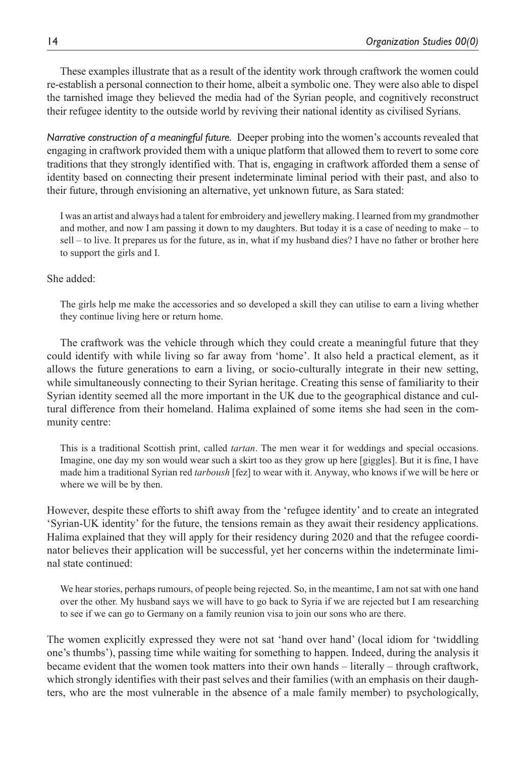These examples illustrate that as a result of the identity work through craftwork the women could re-establish a personal connection to their home, albeit a symbolic one. They were also able to dispel the tarnished image they believed the media had of the Syrian people, and cognitively reconstruct their refugee identity to the outside world by reviving their national identity as civilised Syrians.

*Narrative construction of a meaningful future.* Deeper probing into the women's accounts revealed that engaging in craftwork provided them with a unique platform that allowed them to revert to some core traditions that they strongly identified with. That is, engaging in craftwork afforded them a sense of identity based on connecting their present indeterminate liminal period with their past, and also to their future, through envisioning an alternative, yet unknown future, as Sara stated:

I was an artist and always had a talent for embroidery and jewellery making. I learned from my grandmother and mother, and now I am passing it down to my daughters. But today it is a case of needing to make – to sell – to live. It prepares us for the future, as in, what if my husband dies? I have no father or brother here to support the girls and I.

## She added:

The girls help me make the accessories and so developed a skill they can utilise to earn a living whether they continue living here or return home.

The craftwork was the vehicle through which they could create a meaningful future that they could identify with while living so far away from 'home'. It also held a practical element, as it allows the future generations to earn a living, or socio-culturally integrate in their new setting, while simultaneously connecting to their Syrian heritage. Creating this sense of familiarity to their Syrian identity seemed all the more important in the UK due to the geographical distance and cultural difference from their homeland. Halima explained of some items she had seen in the community centre:

This is a traditional Scottish print, called *tartan*. The men wear it for weddings and special occasions. Imagine, one day my son would wear such a skirt too as they grow up here [giggles]. But it is fine, I have made him a traditional Syrian red *tarboush* [fez] to wear with it. Anyway, who knows if we will be here or where we will be by then.

However, despite these efforts to shift away from the 'refugee identity' and to create an integrated 'Syrian-UK identity' for the future, the tensions remain as they await their residency applications. Halima explained that they will apply for their residency during 2020 and that the refugee coordinator believes their application will be successful, yet her concerns within the indeterminate liminal state continued:

We hear stories, perhaps rumours, of people being rejected. So, in the meantime, I am not sat with one hand over the other. My husband says we will have to go back to Syria if we are rejected but I am researching to see if we can go to Germany on a family reunion visa to join our sons who are there.

The women explicitly expressed they were not sat 'hand over hand' (local idiom for 'twiddling one's thumbs'), passing time while waiting for something to happen. Indeed, during the analysis it became evident that the women took matters into their own hands – literally – through craftwork, which strongly identifies with their past selves and their families (with an emphasis on their daughters, who are the most vulnerable in the absence of a male family member) to psychologically,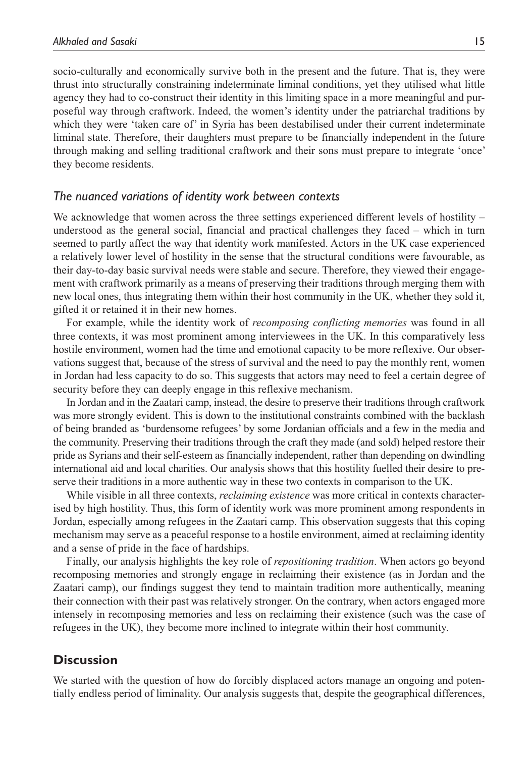socio-culturally and economically survive both in the present and the future. That is, they were thrust into structurally constraining indeterminate liminal conditions, yet they utilised what little agency they had to co-construct their identity in this limiting space in a more meaningful and purposeful way through craftwork. Indeed, the women's identity under the patriarchal traditions by which they were 'taken care of' in Syria has been destabilised under their current indeterminate liminal state. Therefore, their daughters must prepare to be financially independent in the future through making and selling traditional craftwork and their sons must prepare to integrate 'once' they become residents.

#### *The nuanced variations of identity work between contexts*

We acknowledge that women across the three settings experienced different levels of hostility – understood as the general social, financial and practical challenges they faced – which in turn seemed to partly affect the way that identity work manifested. Actors in the UK case experienced a relatively lower level of hostility in the sense that the structural conditions were favourable, as their day-to-day basic survival needs were stable and secure. Therefore, they viewed their engagement with craftwork primarily as a means of preserving their traditions through merging them with new local ones, thus integrating them within their host community in the UK, whether they sold it, gifted it or retained it in their new homes.

For example, while the identity work of *recomposing conflicting memories* was found in all three contexts, it was most prominent among interviewees in the UK. In this comparatively less hostile environment, women had the time and emotional capacity to be more reflexive. Our observations suggest that, because of the stress of survival and the need to pay the monthly rent, women in Jordan had less capacity to do so. This suggests that actors may need to feel a certain degree of security before they can deeply engage in this reflexive mechanism.

In Jordan and in the Zaatari camp, instead, the desire to preserve their traditions through craftwork was more strongly evident. This is down to the institutional constraints combined with the backlash of being branded as 'burdensome refugees' by some Jordanian officials and a few in the media and the community. Preserving their traditions through the craft they made (and sold) helped restore their pride as Syrians and their self-esteem as financially independent, rather than depending on dwindling international aid and local charities. Our analysis shows that this hostility fuelled their desire to preserve their traditions in a more authentic way in these two contexts in comparison to the UK.

While visible in all three contexts, *reclaiming existence* was more critical in contexts characterised by high hostility. Thus, this form of identity work was more prominent among respondents in Jordan, especially among refugees in the Zaatari camp. This observation suggests that this coping mechanism may serve as a peaceful response to a hostile environment, aimed at reclaiming identity and a sense of pride in the face of hardships.

Finally, our analysis highlights the key role of *repositioning tradition*. When actors go beyond recomposing memories and strongly engage in reclaiming their existence (as in Jordan and the Zaatari camp), our findings suggest they tend to maintain tradition more authentically, meaning their connection with their past was relatively stronger. On the contrary, when actors engaged more intensely in recomposing memories and less on reclaiming their existence (such was the case of refugees in the UK), they become more inclined to integrate within their host community.

## **Discussion**

We started with the question of how do forcibly displaced actors manage an ongoing and potentially endless period of liminality. Our analysis suggests that, despite the geographical differences,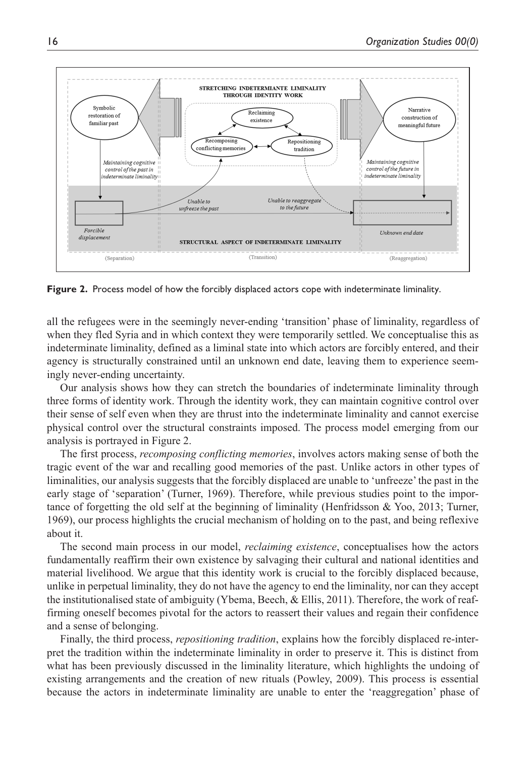

**Figure 2.** Process model of how the forcibly displaced actors cope with indeterminate liminality.

all the refugees were in the seemingly never-ending 'transition' phase of liminality, regardless of when they fled Syria and in which context they were temporarily settled. We conceptualise this as indeterminate liminality, defined as a liminal state into which actors are forcibly entered, and their agency is structurally constrained until an unknown end date, leaving them to experience seemingly never-ending uncertainty.

Our analysis shows how they can stretch the boundaries of indeterminate liminality through three forms of identity work. Through the identity work, they can maintain cognitive control over their sense of self even when they are thrust into the indeterminate liminality and cannot exercise physical control over the structural constraints imposed. The process model emerging from our analysis is portrayed in Figure 2.

The first process, *recomposing conflicting memories*, involves actors making sense of both the tragic event of the war and recalling good memories of the past. Unlike actors in other types of liminalities, our analysis suggests that the forcibly displaced are unable to 'unfreeze' the past in the early stage of 'separation' (Turner, 1969). Therefore, while previous studies point to the importance of forgetting the old self at the beginning of liminality (Henfridsson & Yoo, 2013; Turner, 1969), our process highlights the crucial mechanism of holding on to the past, and being reflexive about it.

The second main process in our model, *reclaiming existence*, conceptualises how the actors fundamentally reaffirm their own existence by salvaging their cultural and national identities and material livelihood. We argue that this identity work is crucial to the forcibly displaced because, unlike in perpetual liminality, they do not have the agency to end the liminality, nor can they accept the institutionalised state of ambiguity (Ybema, Beech, & Ellis, 2011). Therefore, the work of reaffirming oneself becomes pivotal for the actors to reassert their values and regain their confidence and a sense of belonging.

Finally, the third process, *repositioning tradition*, explains how the forcibly displaced re-interpret the tradition within the indeterminate liminality in order to preserve it. This is distinct from what has been previously discussed in the liminality literature, which highlights the undoing of existing arrangements and the creation of new rituals (Powley, 2009). This process is essential because the actors in indeterminate liminality are unable to enter the 'reaggregation' phase of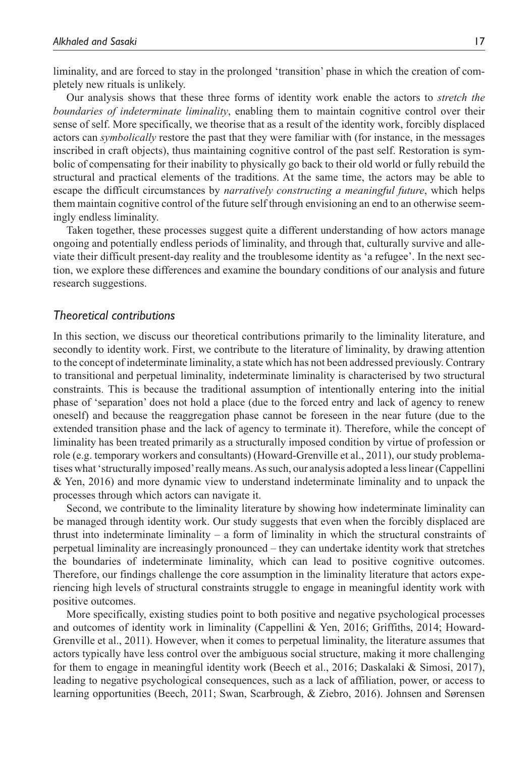liminality, and are forced to stay in the prolonged 'transition' phase in which the creation of completely new rituals is unlikely.

Our analysis shows that these three forms of identity work enable the actors to *stretch the boundaries of indeterminate liminality*, enabling them to maintain cognitive control over their sense of self. More specifically, we theorise that as a result of the identity work, forcibly displaced actors can *symbolically* restore the past that they were familiar with (for instance, in the messages inscribed in craft objects), thus maintaining cognitive control of the past self. Restoration is symbolic of compensating for their inability to physically go back to their old world or fully rebuild the structural and practical elements of the traditions. At the same time, the actors may be able to escape the difficult circumstances by *narratively constructing a meaningful future*, which helps them maintain cognitive control of the future self through envisioning an end to an otherwise seemingly endless liminality.

Taken together, these processes suggest quite a different understanding of how actors manage ongoing and potentially endless periods of liminality, and through that, culturally survive and alleviate their difficult present-day reality and the troublesome identity as 'a refugee'. In the next section, we explore these differences and examine the boundary conditions of our analysis and future research suggestions.

#### *Theoretical contributions*

In this section, we discuss our theoretical contributions primarily to the liminality literature, and secondly to identity work. First, we contribute to the literature of liminality, by drawing attention to the concept of indeterminate liminality, a state which has not been addressed previously. Contrary to transitional and perpetual liminality, indeterminate liminality is characterised by two structural constraints. This is because the traditional assumption of intentionally entering into the initial phase of 'separation' does not hold a place (due to the forced entry and lack of agency to renew oneself) and because the reaggregation phase cannot be foreseen in the near future (due to the extended transition phase and the lack of agency to terminate it). Therefore, while the concept of liminality has been treated primarily as a structurally imposed condition by virtue of profession or role (e.g. temporary workers and consultants) (Howard-Grenville et al., 2011), our study problematises what 'structurally imposed' really means. As such, our analysis adopted a less linear (Cappellini & Yen, 2016) and more dynamic view to understand indeterminate liminality and to unpack the processes through which actors can navigate it.

Second, we contribute to the liminality literature by showing how indeterminate liminality can be managed through identity work. Our study suggests that even when the forcibly displaced are thrust into indeterminate liminality – a form of liminality in which the structural constraints of perpetual liminality are increasingly pronounced – they can undertake identity work that stretches the boundaries of indeterminate liminality, which can lead to positive cognitive outcomes. Therefore, our findings challenge the core assumption in the liminality literature that actors experiencing high levels of structural constraints struggle to engage in meaningful identity work with positive outcomes.

More specifically, existing studies point to both positive and negative psychological processes and outcomes of identity work in liminality (Cappellini & Yen, 2016; Griffiths, 2014; Howard-Grenville et al., 2011). However, when it comes to perpetual liminality, the literature assumes that actors typically have less control over the ambiguous social structure, making it more challenging for them to engage in meaningful identity work (Beech et al., 2016; Daskalaki & Simosi, 2017), leading to negative psychological consequences, such as a lack of affiliation, power, or access to learning opportunities (Beech, 2011; Swan, Scarbrough, & Ziebro, 2016). Johnsen and Sørensen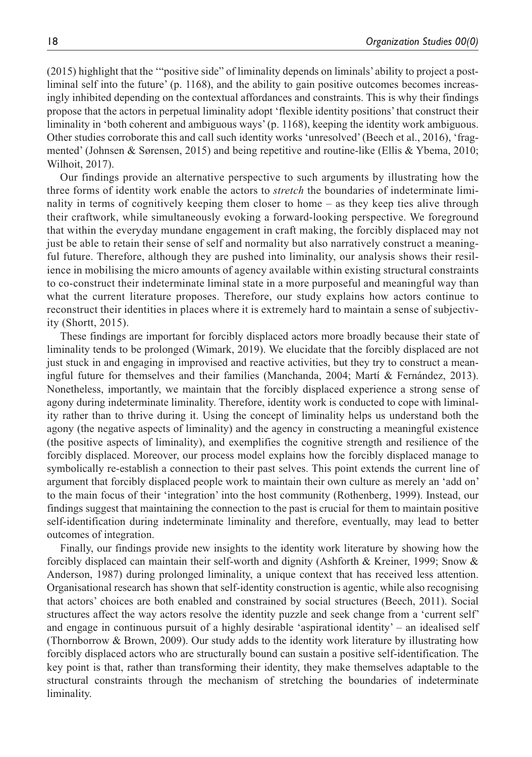(2015) highlight that the '"positive side" of liminality depends on liminals' ability to project a postliminal self into the future' (p. 1168), and the ability to gain positive outcomes becomes increasingly inhibited depending on the contextual affordances and constraints. This is why their findings propose that the actors in perpetual liminality adopt 'flexible identity positions' that construct their liminality in 'both coherent and ambiguous ways' (p. 1168), keeping the identity work ambiguous. Other studies corroborate this and call such identity works 'unresolved' (Beech et al., 2016), 'fragmented' (Johnsen & Sørensen, 2015) and being repetitive and routine-like (Ellis & Ybema, 2010; Wilhoit, 2017).

Our findings provide an alternative perspective to such arguments by illustrating how the three forms of identity work enable the actors to *stretch* the boundaries of indeterminate liminality in terms of cognitively keeping them closer to home – as they keep ties alive through their craftwork, while simultaneously evoking a forward-looking perspective. We foreground that within the everyday mundane engagement in craft making, the forcibly displaced may not just be able to retain their sense of self and normality but also narratively construct a meaningful future. Therefore, although they are pushed into liminality, our analysis shows their resilience in mobilising the micro amounts of agency available within existing structural constraints to co-construct their indeterminate liminal state in a more purposeful and meaningful way than what the current literature proposes. Therefore, our study explains how actors continue to reconstruct their identities in places where it is extremely hard to maintain a sense of subjectivity (Shortt, 2015).

These findings are important for forcibly displaced actors more broadly because their state of liminality tends to be prolonged (Wimark, 2019). We elucidate that the forcibly displaced are not just stuck in and engaging in improvised and reactive activities, but they try to construct a meaningful future for themselves and their families (Manchanda, 2004; Martí & Fernández, 2013). Nonetheless, importantly, we maintain that the forcibly displaced experience a strong sense of agony during indeterminate liminality. Therefore, identity work is conducted to cope with liminality rather than to thrive during it. Using the concept of liminality helps us understand both the agony (the negative aspects of liminality) and the agency in constructing a meaningful existence (the positive aspects of liminality), and exemplifies the cognitive strength and resilience of the forcibly displaced. Moreover, our process model explains how the forcibly displaced manage to symbolically re-establish a connection to their past selves. This point extends the current line of argument that forcibly displaced people work to maintain their own culture as merely an 'add on' to the main focus of their 'integration' into the host community (Rothenberg, 1999). Instead, our findings suggest that maintaining the connection to the past is crucial for them to maintain positive self-identification during indeterminate liminality and therefore, eventually, may lead to better outcomes of integration.

Finally, our findings provide new insights to the identity work literature by showing how the forcibly displaced can maintain their self-worth and dignity (Ashforth & Kreiner, 1999; Snow & Anderson, 1987) during prolonged liminality, a unique context that has received less attention. Organisational research has shown that self-identity construction is agentic, while also recognising that actors' choices are both enabled and constrained by social structures (Beech, 2011). Social structures affect the way actors resolve the identity puzzle and seek change from a 'current self' and engage in continuous pursuit of a highly desirable 'aspirational identity' – an idealised self (Thornborrow & Brown, 2009). Our study adds to the identity work literature by illustrating how forcibly displaced actors who are structurally bound can sustain a positive self-identification. The key point is that, rather than transforming their identity, they make themselves adaptable to the structural constraints through the mechanism of stretching the boundaries of indeterminate liminality.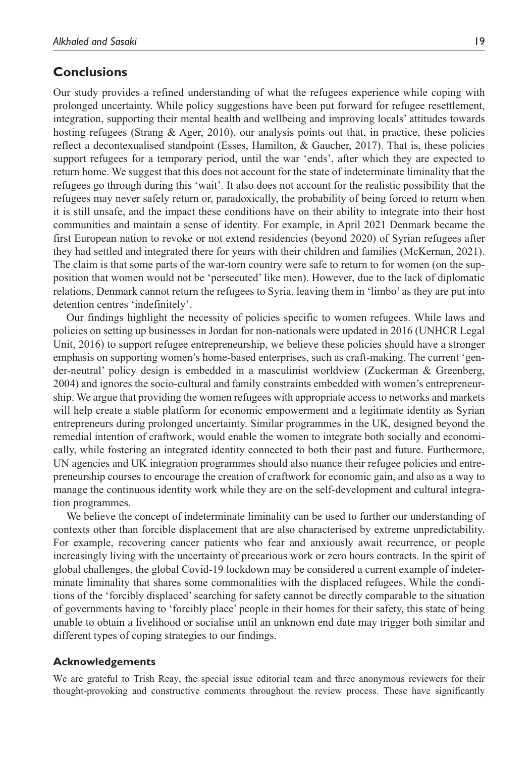# **Conclusions**

Our study provides a refined understanding of what the refugees experience while coping with prolonged uncertainty. While policy suggestions have been put forward for refugee resettlement, integration, supporting their mental health and wellbeing and improving locals' attitudes towards hosting refugees (Strang & Ager, 2010), our analysis points out that, in practice, these policies reflect a decontexualised standpoint (Esses, Hamilton, & Gaucher, 2017). That is, these policies support refugees for a temporary period, until the war 'ends', after which they are expected to return home. We suggest that this does not account for the state of indeterminate liminality that the refugees go through during this 'wait'. It also does not account for the realistic possibility that the refugees may never safely return or, paradoxically, the probability of being forced to return when it is still unsafe, and the impact these conditions have on their ability to integrate into their host communities and maintain a sense of identity. For example, in April 2021 Denmark became the first European nation to revoke or not extend residencies (beyond 2020) of Syrian refugees after they had settled and integrated there for years with their children and families (McKernan, 2021). The claim is that some parts of the war-torn country were safe to return to for women (on the supposition that women would not be 'persecuted' like men). However, due to the lack of diplomatic relations, Denmark cannot return the refugees to Syria, leaving them in 'limbo' as they are put into detention centres 'indefinitely'.

Our findings highlight the necessity of policies specific to women refugees. While laws and policies on setting up businesses in Jordan for non-nationals were updated in 2016 (UNHCR Legal Unit, 2016) to support refugee entrepreneurship, we believe these policies should have a stronger emphasis on supporting women's home-based enterprises, such as craft-making. The current 'gender-neutral' policy design is embedded in a masculinist worldview (Zuckerman & Greenberg, 2004) and ignores the socio-cultural and family constraints embedded with women's entrepreneurship. We argue that providing the women refugees with appropriate access to networks and markets will help create a stable platform for economic empowerment and a legitimate identity as Syrian entrepreneurs during prolonged uncertainty. Similar programmes in the UK, designed beyond the remedial intention of craftwork, would enable the women to integrate both socially and economically, while fostering an integrated identity connected to both their past and future. Furthermore, UN agencies and UK integration programmes should also nuance their refugee policies and entrepreneurship courses to encourage the creation of craftwork for economic gain, and also as a way to manage the continuous identity work while they are on the self-development and cultural integration programmes.

We believe the concept of indeterminate liminality can be used to further our understanding of contexts other than forcible displacement that are also characterised by extreme unpredictability. For example, recovering cancer patients who fear and anxiously await recurrence, or people increasingly living with the uncertainty of precarious work or zero hours contracts. In the spirit of global challenges, the global Covid-19 lockdown may be considered a current example of indeterminate liminality that shares some commonalities with the displaced refugees. While the conditions of the 'forcibly displaced' searching for safety cannot be directly comparable to the situation of governments having to 'forcibly place' people in their homes for their safety, this state of being unable to obtain a livelihood or socialise until an unknown end date may trigger both similar and different types of coping strategies to our findings.

#### **Acknowledgements**

We are grateful to Trish Reay, the special issue editorial team and three anonymous reviewers for their thought-provoking and constructive comments throughout the review process. These have significantly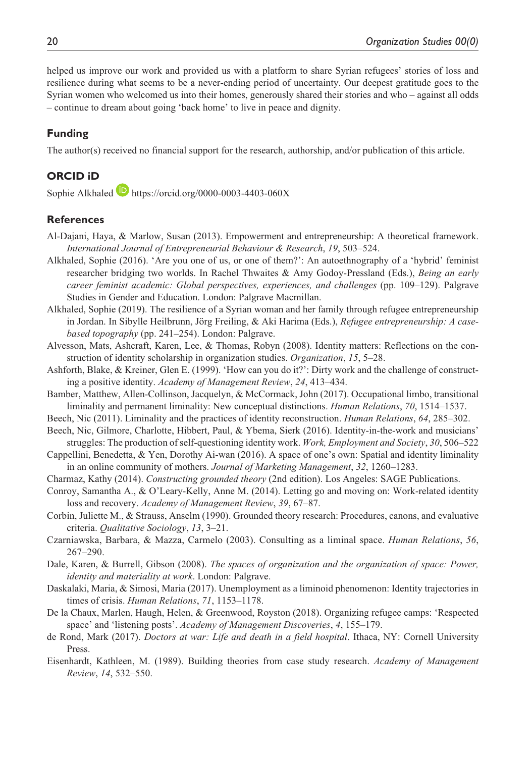helped us improve our work and provided us with a platform to share Syrian refugees' stories of loss and resilience during what seems to be a never-ending period of uncertainty. Our deepest gratitude goes to the Syrian women who welcomed us into their homes, generously shared their stories and who – against all odds – continue to dream about going 'back home' to live in peace and dignity.

## **Funding**

The author(s) received no financial support for the research, authorship, and/or publication of this article.

## **ORCID iD**

Sophie Alkhaled **b** <https://orcid.org/0000-0003-4403-060X>

#### **References**

- Al-Dajani, Haya, & Marlow, Susan (2013). Empowerment and entrepreneurship: A theoretical framework. *International Journal of Entrepreneurial Behaviour & Research*, *19*, 503–524.
- Alkhaled, Sophie (2016). 'Are you one of us, or one of them?': An autoethnography of a 'hybrid' feminist researcher bridging two worlds. In Rachel Thwaites & Amy Godoy-Pressland (Eds.), *Being an early career feminist academic: Global perspectives, experiences, and challenges* (pp. 109–129). Palgrave Studies in Gender and Education. London: Palgrave Macmillan.
- Alkhaled, Sophie (2019). The resilience of a Syrian woman and her family through refugee entrepreneurship in Jordan. In Sibylle Heilbrunn, Jörg Freiling, & Aki Harima (Eds.), *Refugee entrepreneurship: A casebased topography* (pp. 241–254). London: Palgrave.
- Alvesson, Mats, Ashcraft, Karen, Lee, & Thomas, Robyn (2008). Identity matters: Reflections on the construction of identity scholarship in organization studies. *Organization*, *15*, 5–28.
- Ashforth, Blake, & Kreiner, Glen E. (1999). 'How can you do it?': Dirty work and the challenge of constructing a positive identity. *Academy of Management Review*, *24*, 413–434.
- Bamber, Matthew, Allen-Collinson, Jacquelyn, & McCormack, John (2017). Occupational limbo, transitional liminality and permanent liminality: New conceptual distinctions. *Human Relations*, *70*, 1514–1537.
- Beech, Nic (2011). Liminality and the practices of identity reconstruction. *Human Relations*, *64*, 285–302.
- Beech, Nic, Gilmore, Charlotte, Hibbert, Paul, & Ybema, Sierk (2016). Identity-in-the-work and musicians' struggles: The production of self-questioning identity work. *Work, Employment and Society*, *30*, 506–522
- Cappellini, Benedetta, & Yen, Dorothy Ai-wan (2016). A space of one's own: Spatial and identity liminality in an online community of mothers. *Journal of Marketing Management*, *32*, 1260–1283.
- Charmaz, Kathy (2014). *Constructing grounded theory* (2nd edition). Los Angeles: SAGE Publications.
- Conroy, Samantha A., & O'Leary-Kelly, Anne M. (2014). Letting go and moving on: Work-related identity loss and recovery. *Academy of Management Review*, *39*, 67–87.
- Corbin, Juliette M., & Strauss, Anselm (1990). Grounded theory research: Procedures, canons, and evaluative criteria. *Qualitative Sociology*, *13*, 3–21.
- Czarniawska, Barbara, & Mazza, Carmelo (2003). Consulting as a liminal space. *Human Relations*, *56*, 267–290.
- Dale, Karen, & Burrell, Gibson (2008). *The spaces of organization and the organization of space: Power, identity and materiality at work*. London: Palgrave.
- Daskalaki, Maria, & Simosi, Maria (2017). Unemployment as a liminoid phenomenon: Identity trajectories in times of crisis. *Human Relations*, *71*, 1153–1178.
- De la Chaux, Marlen, Haugh, Helen, & Greenwood, Royston (2018). Organizing refugee camps: 'Respected space' and 'listening posts'. *Academy of Management Discoveries*, *4*, 155–179.
- de Rond, Mark (2017). *Doctors at war: Life and death in a field hospital*. Ithaca, NY: Cornell University Press.
- Eisenhardt, Kathleen, M. (1989). Building theories from case study research. *Academy of Management Review*, *14*, 532–550.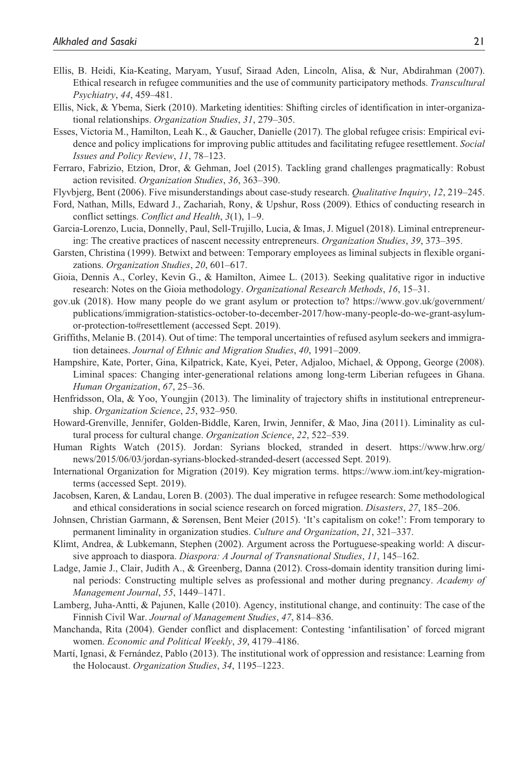- Ellis, B. Heidi, Kia-Keating, Maryam, Yusuf, Siraad Aden, Lincoln, Alisa, & Nur, Abdirahman (2007). Ethical research in refugee communities and the use of community participatory methods. *Transcultural Psychiatry*, *44*, 459–481.
- Ellis, Nick, & Ybema, Sierk (2010). Marketing identities: Shifting circles of identification in inter-organizational relationships. *Organization Studies*, *31*, 279–305.
- Esses, Victoria M., Hamilton, Leah K., & Gaucher, Danielle (2017). The global refugee crisis: Empirical evidence and policy implications for improving public attitudes and facilitating refugee resettlement. *Social Issues and Policy Review*, *11*, 78–123.
- Ferraro, Fabrizio, Etzion, Dror, & Gehman, Joel (2015). Tackling grand challenges pragmatically: Robust action revisited. *Organization Studies*, *36*, 363–390.
- Flyvbjerg, Bent (2006). Five misunderstandings about case-study research. *Qualitative Inquiry*, *12*, 219–245.
- Ford, Nathan, Mills, Edward J., Zachariah, Rony, & Upshur, Ross (2009). Ethics of conducting research in conflict settings. *Conflict and Health*, *3*(1), 1–9.
- Garcia-Lorenzo, Lucia, Donnelly, Paul, Sell-Trujillo, Lucia, & Imas, J. Miguel (2018). Liminal entrepreneuring: The creative practices of nascent necessity entrepreneurs. *Organization Studies*, *39*, 373–395.
- Garsten, Christina (1999). Betwixt and between: Temporary employees as liminal subjects in flexible organizations. *Organization Studies*, *20*, 601–617.
- Gioia, Dennis A., Corley, Kevin G., & Hamilton, Aimee L. (2013). Seeking qualitative rigor in inductive research: Notes on the Gioia methodology. *Organizational Research Methods*, *16*, 15–31.
- gov.uk (2018). How many people do we grant asylum or protection to? [https://www.gov.uk/government/](https://www.gov.uk/government/publications/immigration-statistics-october-to-december-2017/how-many-people-do-we-grant-asylum-or-protection-to#resettlement) [publications/immigration-statistics-october-to-december-2017/how-many-people-do-we-grant-asylum](https://www.gov.uk/government/publications/immigration-statistics-october-to-december-2017/how-many-people-do-we-grant-asylum-or-protection-to#resettlement)[or-protection-to#resettlement](https://www.gov.uk/government/publications/immigration-statistics-october-to-december-2017/how-many-people-do-we-grant-asylum-or-protection-to#resettlement) (accessed Sept. 2019).
- Griffiths, Melanie B. (2014). Out of time: The temporal uncertainties of refused asylum seekers and immigration detainees. *Journal of Ethnic and Migration Studies*, *40*, 1991–2009.
- Hampshire, Kate, Porter, Gina, Kilpatrick, Kate, Kyei, Peter, Adjaloo, Michael, & Oppong, George (2008). Liminal spaces: Changing inter-generational relations among long-term Liberian refugees in Ghana. *Human Organization*, *67*, 25–36.
- Henfridsson, Ola, & Yoo, Youngjin (2013). The liminality of trajectory shifts in institutional entrepreneurship. *Organization Science*, *25*, 932–950.
- Howard-Grenville, Jennifer, Golden-Biddle, Karen, Irwin, Jennifer, & Mao, Jina (2011). Liminality as cultural process for cultural change. *Organization Science*, *22*, 522–539.
- Human Rights Watch (2015). Jordan: Syrians blocked, stranded in desert. [https://www.hrw.org/](https://www.hrw.org/news/2015/06/03/jordan-syrians-blocked-stranded-desert) [news/2015/06/03/jordan-syrians-blocked-stranded-desert](https://www.hrw.org/news/2015/06/03/jordan-syrians-blocked-stranded-desert) (accessed Sept. 2019).
- International Organization for Migration (2019). Key migration terms. [https://www.iom.int/key-migration](https://www.iom.int/key-migration-terms)[terms](https://www.iom.int/key-migration-terms) (accessed Sept. 2019).
- Jacobsen, Karen, & Landau, Loren B. (2003). The dual imperative in refugee research: Some methodological and ethical considerations in social science research on forced migration. *Disasters*, *27*, 185–206.
- Johnsen, Christian Garmann, & Sørensen, Bent Meier (2015). 'It's capitalism on coke!': From temporary to permanent liminality in organization studies. *Culture and Organization*, *21*, 321–337.
- Klimt, Andrea, & Lubkemann, Stephen (2002). Argument across the Portuguese-speaking world: A discursive approach to diaspora. *Diaspora: A Journal of Transnational Studies*, *11*, 145–162.
- Ladge, Jamie J., Clair, Judith A., & Greenberg, Danna (2012). Cross-domain identity transition during liminal periods: Constructing multiple selves as professional and mother during pregnancy. *Academy of Management Journal*, *55*, 1449–1471.
- Lamberg, Juha-Antti, & Pajunen, Kalle (2010). Agency, institutional change, and continuity: The case of the Finnish Civil War. *Journal of Management Studies*, *47*, 814–836.
- Manchanda, Rita (2004). Gender conflict and displacement: Contesting 'infantilisation' of forced migrant women. *Economic and Political Weekly*, *39*, 4179–4186.
- Martí, Ignasi, & Fernández, Pablo (2013). The institutional work of oppression and resistance: Learning from the Holocaust. *Organization Studies*, *34*, 1195–1223.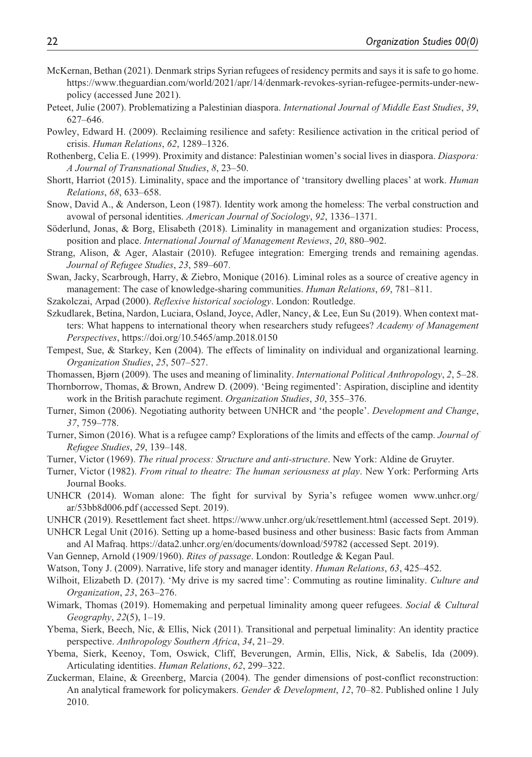- McKernan, Bethan (2021). Denmark strips Syrian refugees of residency permits and says it is safe to go home. [https://www.theguardian.com/world/2021/apr/14/denmark-revokes-syrian-refugee-permits-under-new](https://www.theguardian.com/world/2021/apr/14/denmark-revokes-syrian-refugee-permits-under-new-policy)[policy](https://www.theguardian.com/world/2021/apr/14/denmark-revokes-syrian-refugee-permits-under-new-policy) (accessed June 2021).
- Peteet, Julie (2007). Problematizing a Palestinian diaspora. *International Journal of Middle East Studies*, *39*, 627–646.
- Powley, Edward H. (2009). Reclaiming resilience and safety: Resilience activation in the critical period of crisis. *Human Relations*, *62*, 1289–1326.
- Rothenberg, Celia E. (1999). Proximity and distance: Palestinian women's social lives in diaspora. *Diaspora: A Journal of Transnational Studies*, *8*, 23–50.
- Shortt, Harriot (2015). Liminality, space and the importance of 'transitory dwelling places' at work. *Human Relations*, *68*, 633–658.
- Snow, David A., & Anderson, Leon (1987). Identity work among the homeless: The verbal construction and avowal of personal identities. *American Journal of Sociology*, *92*, 1336–1371.
- Söderlund, Jonas, & Borg, Elisabeth (2018). Liminality in management and organization studies: Process, position and place. *International Journal of Management Reviews*, *20*, 880–902.
- Strang, Alison, & Ager, Alastair (2010). Refugee integration: Emerging trends and remaining agendas. *Journal of Refugee Studies*, *23*, 589–607.
- Swan, Jacky, Scarbrough, Harry, & Ziebro, Monique (2016). Liminal roles as a source of creative agency in management: The case of knowledge-sharing communities. *Human Relations*, *69*, 781–811.
- Szakolczai, Arpad (2000). *Reflexive historical sociology*. London: Routledge.
- Szkudlarek, Betina, Nardon, Luciara, Osland, Joyce, Adler, Nancy, & Lee, Eun Su (2019). When context matters: What happens to international theory when researchers study refugees? *Academy of Management Perspectives*, <https://doi.org/10.5465/amp.2018.0150>
- Tempest, Sue, & Starkey, Ken (2004). The effects of liminality on individual and organizational learning. *Organization Studies*, *25*, 507–527.
- Thomassen, Bjørn (2009). The uses and meaning of liminality. *International Political Anthropology*, *2*, 5–28.
- Thornborrow, Thomas, & Brown, Andrew D. (2009). 'Being regimented': Aspiration, discipline and identity work in the British parachute regiment. *Organization Studies*, *30*, 355–376.
- Turner, Simon (2006). Negotiating authority between UNHCR and 'the people'. *Development and Change*, *37*, 759–778.
- Turner, Simon (2016). What is a refugee camp? Explorations of the limits and effects of the camp. *Journal of Refugee Studies*, *29*, 139–148.
- Turner, Victor (1969). *The ritual process: Structure and anti-structure*. New York: Aldine de Gruyter.
- Turner, Victor (1982). *From ritual to theatre: The human seriousness at play*. New York: Performing Arts Journal Books.
- UNHCR (2014). Woman alone: The fight for survival by Syria's refugee women [www.unhcr.org/](www.unhcr.org/ar/53bb8d006.pdf) [ar/53bb8d006.pdf](www.unhcr.org/ar/53bb8d006.pdf) (accessed Sept. 2019).
- UNHCR (2019). Resettlement fact sheet. <https://www.unhcr.org/uk/resettlement.html>(accessed Sept. 2019).
- UNHCR Legal Unit (2016). Setting up a home-based business and other business: Basic facts from Amman and Al Mafraq.<https://data2.unhcr.org/en/documents/download/59782>(accessed Sept. 2019).
- Van Gennep, Arnold (1909/1960). *Rites of passage*. London: Routledge & Kegan Paul.
- Watson, Tony J. (2009). Narrative, life story and manager identity. *Human Relations*, *63*, 425–452.
- Wilhoit, Elizabeth D. (2017). 'My drive is my sacred time': Commuting as routine liminality. *Culture and Organization*, *23*, 263–276.
- Wimark, Thomas (2019). Homemaking and perpetual liminality among queer refugees. *Social & Cultural Geography*, *22*(5), 1–19.
- Ybema, Sierk, Beech, Nic, & Ellis, Nick (2011). Transitional and perpetual liminality: An identity practice perspective. *Anthropology Southern Africa*, *34*, 21–29.
- Ybema, Sierk, Keenoy, Tom, Oswick, Cliff, Beverungen, Armin, Ellis, Nick, & Sabelis, Ida (2009). Articulating identities. *Human Relations*, *62*, 299–322.
- Zuckerman, Elaine, & Greenberg, Marcia (2004). The gender dimensions of post-conflict reconstruction: An analytical framework for policymakers. *Gender & Development*, *12*, 70–82. Published online 1 July 2010.